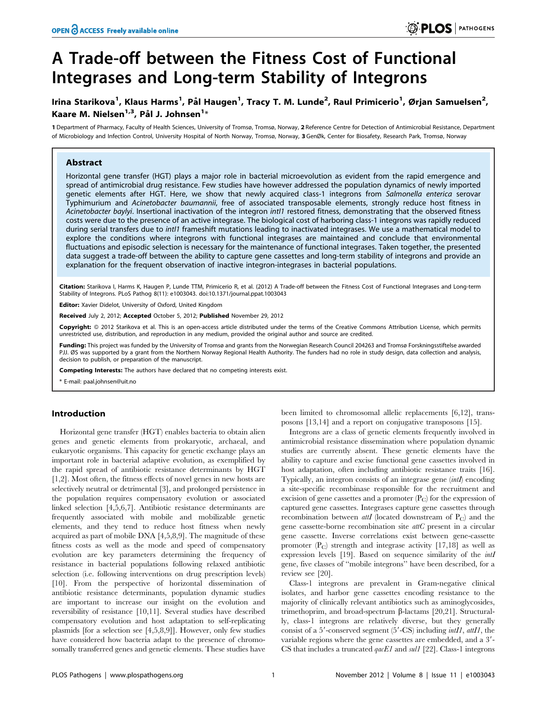# A Trade-off between the Fitness Cost of Functional Integrases and Long-term Stability of Integrons

# lrina Starikova<sup>1</sup>, Klaus Harms<sup>1</sup>, Pål Haugen<sup>1</sup>, Tracy T. M. Lunde<sup>2</sup>, Raul Primicerio<sup>1</sup>, Ørjan Samuelsen<sup>2</sup>, Kaare M. Nielsen $^{1,3}$ , Pål J. Johnsen $^{1\ast}$

1 Department of Pharmacy, Faculty of Health Sciences, University of Tromsø, Tromsø, Norway, 2 Reference Centre for Detection of Antimicrobial Resistance, Department of Microbiology and Infection Control, University Hospital of North Norway, Tromsø, Norway, 3 GenØk, Center for Biosafety, Research Park, Tromsø, Norway

# Abstract

Horizontal gene transfer (HGT) plays a major role in bacterial microevolution as evident from the rapid emergence and spread of antimicrobial drug resistance. Few studies have however addressed the population dynamics of newly imported genetic elements after HGT. Here, we show that newly acquired class-1 integrons from Salmonella enterica serovar Typhimurium and Acinetobacter baumannii, free of associated transposable elements, strongly reduce host fitness in Acinetobacter baylyi. Insertional inactivation of the integron intl1 restored fitness, demonstrating that the observed fitness costs were due to the presence of an active integrase. The biological cost of harboring class-1 integrons was rapidly reduced during serial transfers due to *intI1* frameshift mutations leading to inactivated integrases. We use a mathematical model to explore the conditions where integrons with functional integrases are maintained and conclude that environmental fluctuations and episodic selection is necessary for the maintenance of functional integrases. Taken together, the presented data suggest a trade-off between the ability to capture gene cassettes and long-term stability of integrons and provide an explanation for the frequent observation of inactive integron-integrases in bacterial populations.

Citation: Starikova I, Harms K, Haugen P, Lunde TTM, Primicerio R, et al. (2012) A Trade-off between the Fitness Cost of Functional Integrases and Long-term Stability of Integrons. PLoS Pathog 8(11): e1003043. doi:10.1371/journal.ppat.1003043

Editor: Xavier Didelot, University of Oxford, United Kingdom

Received July 2, 2012; Accepted October 5, 2012; Published November 29, 2012

Copyright: © 2012 Starikova et al. This is an open-access article distributed under the terms of the Creative Commons Attribution License, which permits unrestricted use, distribution, and reproduction in any medium, provided the original author and source are credited.

Funding: This project was funded by the University of Tromsø and grants from the Norwegian Research Council 204263 and Tromsø Forskningsstiftelse awarded PJJ. ØS was supported by a grant from the Northern Norway Regional Health Authority. The funders had no role in study design, data collection and analysis, decision to publish, or preparation of the manuscript.

Competing Interests: The authors have declared that no competing interests exist.

\* E-mail: paal.johnsen@uit.no

# Introduction

Horizontal gene transfer (HGT) enables bacteria to obtain alien genes and genetic elements from prokaryotic, archaeal, and eukaryotic organisms. This capacity for genetic exchange plays an important role in bacterial adaptive evolution, as exemplified by the rapid spread of antibiotic resistance determinants by HGT [1,2]. Most often, the fitness effects of novel genes in new hosts are selectively neutral or detrimental [3], and prolonged persistence in the population requires compensatory evolution or associated linked selection [4,5,6,7]. Antibiotic resistance determinants are frequently associated with mobile and mobilizable genetic elements, and they tend to reduce host fitness when newly acquired as part of mobile DNA [4,5,8,9]. The magnitude of these fitness costs as well as the mode and speed of compensatory evolution are key parameters determining the frequency of resistance in bacterial populations following relaxed antibiotic selection (i.e. following interventions on drug prescription levels) [10]. From the perspective of horizontal dissemination of antibiotic resistance determinants, population dynamic studies are important to increase our insight on the evolution and reversibility of resistance [10,11]. Several studies have described compensatory evolution and host adaptation to self-replicating plasmids [for a selection see [4,5,8,9]]. However, only few studies have considered how bacteria adapt to the presence of chromosomally transferred genes and genetic elements. These studies have

been limited to chromosomal allelic replacements [6,12], transposons [13,14] and a report on conjugative transposons [15].

Integrons are a class of genetic elements frequently involved in antimicrobial resistance dissemination where population dynamic studies are currently absent. These genetic elements have the ability to capture and excise functional gene cassettes involved in host adaptation, often including antibiotic resistance traits [16]. Typically, an integron consists of an integrase gene (intI) encoding a site-specific recombinase responsible for the recruitment and excision of gene cassettes and a promoter  $(P_C)$  for the expression of captured gene cassettes. Integrases capture gene cassettes through recombination between *attI* (located downstream of  $P_C$ ) and the gene cassette-borne recombination site attC present in a circular gene cassette. Inverse correlations exist between gene-cassette promoter  $(P_C)$  strength and integrase activity [17,18] as well as expression levels [19]. Based on sequence similarity of the *intI* gene, five classes of ''mobile integrons'' have been described, for a review see [20].

Class-1 integrons are prevalent in Gram-negative clinical isolates, and harbor gene cassettes encoding resistance to the majority of clinically relevant antibiotics such as aminoglycosides, trimethoprim, and broad-spectrum  $\beta$ -lactams [20,21]. Structurally, class-1 integrons are relatively diverse, but they generally consist of a 5'-conserved segment  $(5'-CS)$  including  $int1$ ,  $at11$ , the variable regions where the gene cassettes are embedded, and a  $3'$ -CS that includes a truncated  $qacEI$  and sul1 [22]. Class-1 integrons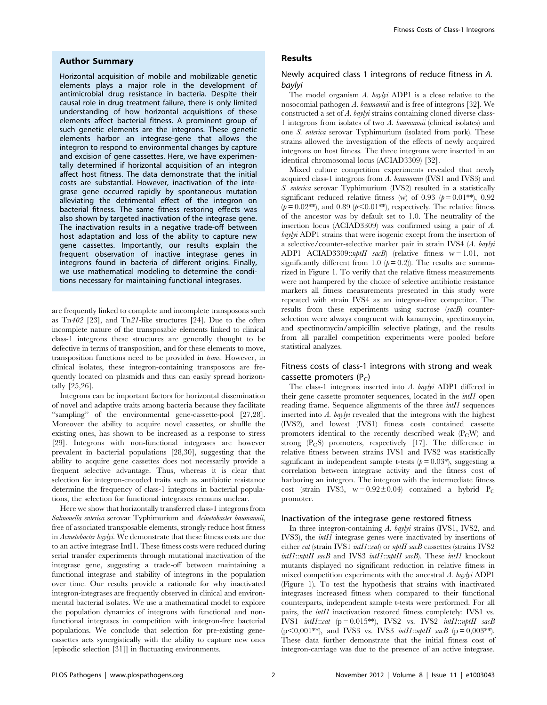#### Author Summary

Horizontal acquisition of mobile and mobilizable genetic elements plays a major role in the development of antimicrobial drug resistance in bacteria. Despite their causal role in drug treatment failure, there is only limited understanding of how horizontal acquisitions of these elements affect bacterial fitness. A prominent group of such genetic elements are the integrons. These genetic elements harbor an integrase-gene that allows the integron to respond to environmental changes by capture and excision of gene cassettes. Here, we have experimentally determined if horizontal acquisition of an integron affect host fitness. The data demonstrate that the initial costs are substantial. However, inactivation of the integrase gene occurred rapidly by spontaneous mutation alleviating the detrimental effect of the integron on bacterial fitness. The same fitness restoring effects was also shown by targeted inactivation of the integrase gene. The inactivation results in a negative trade-off between host adaptation and loss of the ability to capture new gene cassettes. Importantly, our results explain the frequent observation of inactive integrase genes in integrons found in bacteria of different origins. Finally, we use mathematical modeling to determine the conditions necessary for maintaining functional integrases.

are frequently linked to complete and incomplete transposons such as Tn402 [23], and Tn21-like structures [24]. Due to the often incomplete nature of the transposable elements linked to clinical class-1 integrons these structures are generally thought to be defective in terms of transposition, and for these elements to move, transposition functions need to be provided in trans. However, in clinical isolates, these integron-containing transposons are frequently located on plasmids and thus can easily spread horizontally [25,26].

Integrons can be important factors for horizontal dissemination of novel and adaptive traits among bacteria because they facilitate "sampling" of the environmental gene-cassette-pool [27,28]. Moreover the ability to acquire novel cassettes, or shuffle the existing ones, has shown to be increased as a response to stress [29]. Integrons with non-functional integrases are however prevalent in bacterial populations [28,30], suggesting that the ability to acquire gene cassettes does not necessarily provide a frequent selective advantage. Thus, whereas it is clear that selection for integron-encoded traits such as antibiotic resistance determine the frequency of class-1 integrons in bacterial populations, the selection for functional integrases remains unclear.

Here we show that horizontally transferred class-1 integrons from Salmonella enterica serovar Typhimurium and Acinetobacter baumannii, free of associated transposable elements, strongly reduce host fitness in Acinetobacter baylyi. We demonstrate that these fitness costs are due to an active integrase IntI1. These fitness costs were reduced during serial transfer experiments through mutational inactivation of the integrase gene, suggesting a trade-off between maintaining a functional integrase and stability of integrons in the population over time. Our results provide a rationale for why inactivated integron-integrases are frequently observed in clinical and environmental bacterial isolates. We use a mathematical model to explore the population dynamics of integrons with functional and nonfunctional integrases in competition with integron-free bacterial populations. We conclude that selection for pre-existing genecassettes acts synergistically with the ability to capture new ones [episodic selection [31]] in fluctuating environments.

# Results

# Newly acquired class 1 integrons of reduce fitness in A. baylyi

The model organism A. baylyi ADP1 is a close relative to the nosocomial pathogen A. baumannii and is free of integrons [32]. We constructed a set of A. baylyi strains containing cloned diverse class-1 integrons from isolates of two A. baumannii (clinical isolates) and one S. enterica serovar Typhimurium (isolated from pork). These strains allowed the investigation of the effects of newly acquired integrons on host fitness. The three integrons were inserted in an identical chromosomal locus (ACIAD3309) [32].

Mixed culture competition experiments revealed that newly acquired class-1 integrons from A. baumannii (IVS1 and IVS3) and S. enterica serovar Typhimurium (IVS2) resulted in a statistically significant reduced relative fitness (w) of 0.93 ( $p = 0.01$ <sup>\*\*</sup>), 0.92  $(p= 0.02**)$ , and 0.89  $(p< 0.01**)$ , respectively. The relative fitness of the ancestor was by default set to 1.0. The neutrality of the insertion locus (ACIAD3309) was confirmed using a pair of A. baylyi ADP1 strains that were isogenic except from the insertion of a selective/counter-selective marker pair in strain IVS4 (A. baylyi ADP1 ACIAD3309:: $nptI I$  sacB) (relative fitness w = 1.01, not significantly different from 1.0  $(p=0.2)$ ). The results are summarized in Figure 1. To verify that the relative fitness measurements were not hampered by the choice of selective antibiotic resistance markers all fitness measurements presented in this study were repeated with strain IVS4 as an integron-free competitor. The results from these experiments using sucrose (sacB) counterselection were always congruent with kanamycin, spectinomycin, and spectinomycin/ampicillin selective platings, and the results from all parallel competition experiments were pooled before statistical analyzes.

# Fitness costs of class-1 integrons with strong and weak cassette promoters  $(P<sub>c</sub>)$

The class-1 integrons inserted into A. baylyi ADP1 differed in their gene cassette promoter sequences, located in the intI1 open reading frame. Sequence alignments of the three *intI1* sequences inserted into A. baylyi revealed that the integrons with the highest (IVS2), and lowest (IVS1) fitness costs contained cassette promoters identical to the recently described weak  $(P<sub>C</sub>W)$  and strong  $(P_{C}S)$  promoters, respectively [17]. The difference in relative fitness between strains IVS1 and IVS2 was statistically significant in independent sample t-tests  $(p=0.03*)$ , suggesting a correlation between integrase activity and the fitness cost of harboring an integron. The integron with the intermediate fitness cost (strain IVS3,  $w = 0.92 \pm 0.04$ ) contained a hybrid P<sub>C</sub> promoter.

#### Inactivation of the integrase gene restored fitness

In three integron-containing A. baylyi strains (IVS1, IVS2, and IVS3), the *intI1* integrase genes were inactivated by insertions of either *cat* (strain IVS1 *intI1::cat*) or *nptII sacB* cassettes (strains IVS2 intI1::nptII sacB and IVS3 intI1::nptII sacB). These intI1 knockout mutants displayed no significant reduction in relative fitness in mixed competition experiments with the ancestral A. baylyi ADP1 (Figure 1). To test the hypothesis that strains with inactivated integrases increased fitness when compared to their functional counterparts, independent sample t-tests were performed. For all pairs, the intI1 inactivation restored fitness completely: IVS1 vs. IVS1 intI1::cat  $(p = 0.015**)$ , IVS2 vs. IVS2 intI1::nptII sacB  $(p<0,001**)$ , and IVS3 vs. IVS3 *intI1::nptII sacB*  $(p=0,003**)$ . These data further demonstrate that the initial fitness cost of integron-carriage was due to the presence of an active integrase.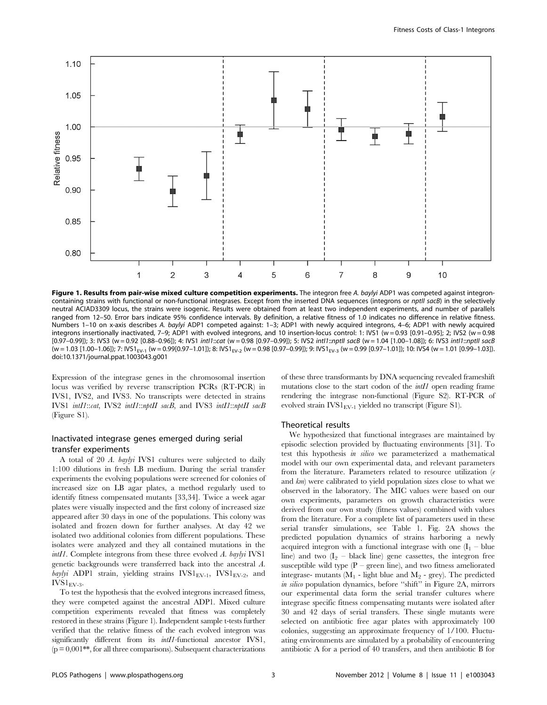

Figure 1. Results from pair-wise mixed culture competition experiments. The integron free A. baylyi ADP1 was competed against integroncontaining strains with functional or non-functional integrases. Except from the inserted DNA sequences (integrons or *nptll sacB*) in the selectively neutral ACIAD3309 locus, the strains were isogenic. Results were obtained from at least two independent experiments, and number of parallels ranged from 12–50. Error bars indicate 95% confidence intervals. By definition, a relative fitness of 1.0 indicates no difference in relative fitness. Numbers 1–10 on x-axis describes A. baylyi ADP1 competed against: 1–3; ADP1 with newly acquired integrons, 4–6; ADP1 with newly acquired integrons insertionally inactivated, 7–9; ADP1 with evolved integrons, and 10 insertion-locus control: 1: IVS1 (w = 0.93 [0.91–0.95]; 2; IVS2 (w = 0.98 [0.97–0.99]); 3: IVS3 (w = 0.92 [0.88–0.96]); 4: IVS1 intI1::cat (w = 0.98 [0.97–0.99]); 5: IVS2 intI1::nptII sacB (w = 1.04 [1.00–1.08]); 6: IVS3 intI1::nptII sacB (w = 1.03 [1.00–1.06]); 7: IVS1<sub>EV-1</sub> (w = 0.99[0.97–1.01]); 8: IVS1<sub>EV-2</sub> (w = 0.98 [0.97–0.99]); 9: IVS1<sub>EV-3</sub> (w = 0.99 [0.97–1.01]); 10: IVS4 (w = 1.01 [0.99–1.03]). doi:10.1371/journal.ppat.1003043.g001

Expression of the integrase genes in the chromosomal insertion locus was verified by reverse transcription PCRs (RT-PCR) in IVS1, IVS2, and IVS3. No transcripts were detected in strains IVS1 intI1::cat, IVS2 intI1::nptII sacB, and IVS3 intI1::nptII sacB (Figure S1).

# Inactivated integrase genes emerged during serial transfer experiments

A total of 20 A. baylyi IVS1 cultures were subjected to daily 1:100 dilutions in fresh LB medium. During the serial transfer experiments the evolving populations were screened for colonies of increased size on LB agar plates, a method regularly used to identify fitness compensated mutants [33,34]. Twice a week agar plates were visually inspected and the first colony of increased size appeared after 30 days in one of the populations. This colony was isolated and frozen down for further analyses. At day 42 we isolated two additional colonies from different populations. These isolates were analyzed and they all contained mutations in the intI1. Complete integrons from these three evolved A. baylyi IVS1 genetic backgrounds were transferred back into the ancestral A. baylyi ADP1 strain, yielding strains  $IVSI<sub>EV-1</sub>,  $IVSI<sub>EV-2</sub>$ , and$  $IVS1<sub>EV-3</sub>$ .

To test the hypothesis that the evolved integrons increased fitness, they were competed against the ancestral ADP1. Mixed culture competition experiments revealed that fitness was completely restored in these strains (Figure 1). Independent sample t-tests further verified that the relative fitness of the each evolved integron was significantly different from its *intI1*-functional ancestor IVS1,  $(p = 0.001$ <sup>\*\*</sup>, for all three comparisons). Subsequent characterizations of these three transformants by DNA sequencing revealed frameshift mutations close to the start codon of the *intI1* open reading frame rendering the integrase non-functional (Figure S2). RT-PCR of evolved strain  $IVSI<sub>EV-1</sub>$  yielded no transcript (Figure S1).

#### Theoretical results

We hypothesized that functional integrases are maintained by episodic selection provided by fluctuating environments [31]. To test this hypothesis in silico we parameterized a mathematical model with our own experimental data, and relevant parameters from the literature. Parameters related to resource utilization  $(e)$ and km) were calibrated to yield population sizes close to what we observed in the laboratory. The MIC values were based on our own experiments, parameters on growth characteristics were derived from our own study (fitness values) combined with values from the literature. For a complete list of parameters used in these serial transfer simulations, see Table 1. Fig. 2A shows the predicted population dynamics of strains harboring a newly acquired integron with a functional integrase with one  $(I_1 - blue)$ line) and two  $(I_2 - \text{black line})$  gene cassettes, the integron free susceptible wild type  $(P - green line)$ , and two fitness ameliorated integrase- mutants  $(M_1 - light blue and M_2 - grey)$ . The predicted in silico population dynamics, before "shift" in Figure 2A, mirrors our experimental data form the serial transfer cultures where integrase specific fitness compensating mutants were isolated after 30 and 42 days of serial transfers. These single mutants were selected on antibiotic free agar plates with approximately 100 colonies, suggesting an approximate frequency of 1/100. Fluctuating environments are simulated by a probability of encountering antibiotic A for a period of 40 transfers, and then antibiotic B for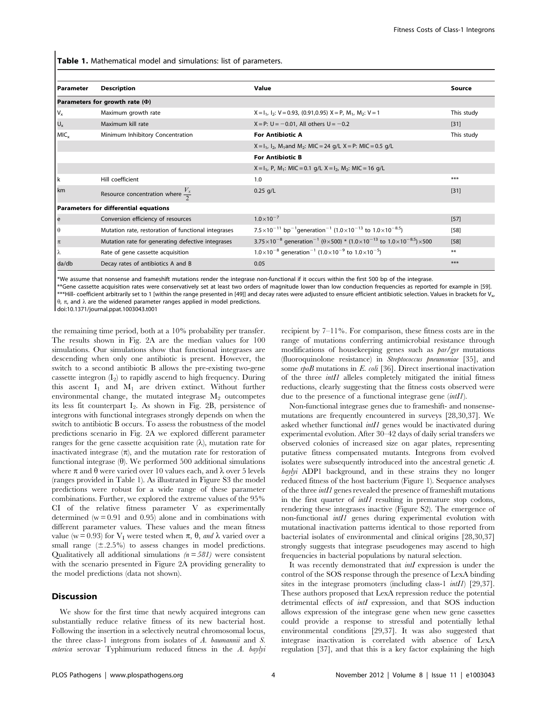Table 1. Mathematical model and simulations: list of parameters.

| Parameter        | <b>Description</b>                                  | Value                                                                                                                             | Source     |
|------------------|-----------------------------------------------------|-----------------------------------------------------------------------------------------------------------------------------------|------------|
|                  | Parameters for growth rate $(\Phi)$                 |                                                                                                                                   |            |
| $V_{x}$          | Maximum growth rate                                 | $X = I_1$ , $I_2$ : $V = 0.93$ , (0.91,0.95) $X = P$ , $M_1$ , $M_2$ : $V = 1$                                                    | This study |
| $U_{x}$          | Maximum kill rate                                   | $X = P$ : U = -0.01, All others U = -0.2                                                                                          | $[31]$     |
| MIC <sub>x</sub> | Minimum Inhibitory Concentration                    | <b>For Antibiotic A</b>                                                                                                           | This study |
|                  |                                                     | $X = I_1$ , $I_2$ , M <sub>1</sub> and M <sub>2</sub> : MIC = 24 g/L X = P: MIC = 0.5 g/L                                         |            |
|                  |                                                     | <b>For Antibiotic B</b>                                                                                                           |            |
|                  |                                                     | $X = I_1$ , P, M <sub>1</sub> : MIC = 0.1 g/L $X = I_2$ , M <sub>2</sub> : MIC = 16 g/L                                           |            |
| l k              | Hill coefficient                                    | 1.0                                                                                                                               | ***        |
| km               | Resource concentration where $\frac{V_x}{2}$        | $0.25$ g/L                                                                                                                        | $[31]$     |
|                  | Parameters for differential equations               |                                                                                                                                   |            |
| e                | Conversion efficiency of resources                  | $1.0\times10^{-7}$                                                                                                                | $[57]$     |
| $\theta$         | Mutation rate, restoration of functional integrases | 7.5 × 10 <sup>-11</sup> bp <sup>-1</sup> generation <sup>-1</sup> (1.0 × 10 <sup>-13</sup> to 1.0 × 10 <sup>-8.5</sup> )          | $[58]$     |
| $\pi$            | Mutation rate for generating defective integrases   | 3.75 $\times$ 10 <sup>-8</sup> generation <sup>-1</sup> ( $\theta$ ×500) * (1.0×10 <sup>-13</sup> to 1.0×10 <sup>-8.5</sup> )×500 | [58]       |
| lλ               | Rate of gene cassette acquisition                   | $1.0\times10^{-8}$ generation <sup>-1</sup> (1.0×10 <sup>-9</sup> to 1.0×10 <sup>-5</sup> )                                       | $***$      |
| da/db            | Decay rates of antibiotics A and B                  | 0.05                                                                                                                              | ***        |

\*We assume that nonsense and frameshift mutations render the integrase non-functional if it occurs within the first 500 bp of the integrase.

\*\*Gene cassette acquisition rates were conservatively set at least two orders of magnitude lower than low conduction frequencies as reported for example in [59]. \*\*\*Hill- coefficient arbitrarily set to 1 [within the range presented in [49]] and decay rates were adjusted to ensure efficient antibiotic selection. Values in brackets for V.  $\theta$ ,  $\pi$ , and  $\lambda$  are the widened parameter ranges applied in model predictions.

doi:10.1371/journal.ppat.1003043.t001

the remaining time period, both at a 10% probability per transfer. The results shown in Fig. 2A are the median values for 100 simulations. Our simulations show that functional integrases are descending when only one antibiotic is present. However, the switch to a second antibiotic B allows the pre-existing two-gene cassette integron  $(I_2)$  to rapidly ascend to high frequency. During this ascent  $I_1$  and  $M_1$  are driven extinct. Without further environmental change, the mutated integrase  $M_2$  outcompetes its less fit counterpart  $I_2$ . As shown in Fig. 2B, persistence of integrons with functional integrases strongly depends on when the switch to antibiotic B occurs. To assess the robustness of the model predictions scenario in Fig. 2A we explored different parameter ranges for the gene cassette acquisition rate  $(\lambda)$ , mutation rate for inactivated integrase  $(\pi)$ , and the mutation rate for restoration of functional integrase  $(\theta)$ . We performed 500 additional simulations where  $\pi$  and  $\theta$  were varied over 10 values each, and  $\lambda$  over 5 levels (ranges provided in Table 1). As illustrated in Figure S3 the model predictions were robust for a wide range of these parameter combinations. Further, we explored the extreme values of the 95% CI of the relative fitness parameter V as experimentally determined  $(w = 0.91$  and  $(0.95)$  alone and in combinations with different parameter values. These values and the mean fitness value (w = 0.93) for  $V_I$  were tested when  $\pi$ ,  $\theta$ , and  $\lambda$  varied over a small range  $(\pm .2.5\%)$  to assess changes in model predictions. Qualitatively all additional simulations  $(n = 581)$  were consistent with the scenario presented in Figure 2A providing generality to the model predictions (data not shown).

# Discussion

We show for the first time that newly acquired integrons can substantially reduce relative fitness of its new bacterial host. Following the insertion in a selectively neutral chromosomal locus, the three class-1 integrons from isolates of A. baumannii and S. enterica serovar Typhimurium reduced fitness in the A. baylyi recipient by 7–11%. For comparison, these fitness costs are in the range of mutations conferring antimicrobial resistance through modifications of housekeeping genes such as par/gyr mutations (fluoroquinolone resistance) in Streptococcus pneumoniae [35], and some rpoB mutations in E. coli [36]. Direct insertional inactivation of the three intI1 alleles completely mitigated the initial fitness reductions, clearly suggesting that the fitness costs observed were due to the presence of a functional integrase gene (*intII*).

Non-functional integrase genes due to frameshift- and nonsensemutations are frequently encountered in surveys [28,30,37]. We asked whether functional intI1 genes would be inactivated during experimental evolution. After 30–42 days of daily serial transfers we observed colonies of increased size on agar plates, representing putative fitness compensated mutants. Integrons from evolved isolates were subsequently introduced into the ancestral genetic A. baylyi ADP1 background, and in these strains they no longer reduced fitness of the host bacterium (Figure 1). Sequence analyses of the three intI1 genes revealed the presence of frameshift mutations in the first quarter of intI1 resulting in premature stop codons, rendering these integrases inactive (Figure S2). The emergence of non-functional intI1 genes during experimental evolution with mutational inactivation patterns identical to those reported from bacterial isolates of environmental and clinical origins [28,30,37] strongly suggests that integrase pseudogenes may ascend to high frequencies in bacterial populations by natural selection.

It was recently demonstrated that *intI* expression is under the control of the SOS response through the presence of LexA binding sites in the integrase promoters (including class-1 *intII*) [29,37]. These authors proposed that LexA repression reduce the potential detrimental effects of *intI* expression, and that SOS induction allows expression of the integrase gene when new gene cassettes could provide a response to stressful and potentially lethal environmental conditions [29,37]. It was also suggested that integrase inactivation is correlated with absence of LexA regulation [37], and that this is a key factor explaining the high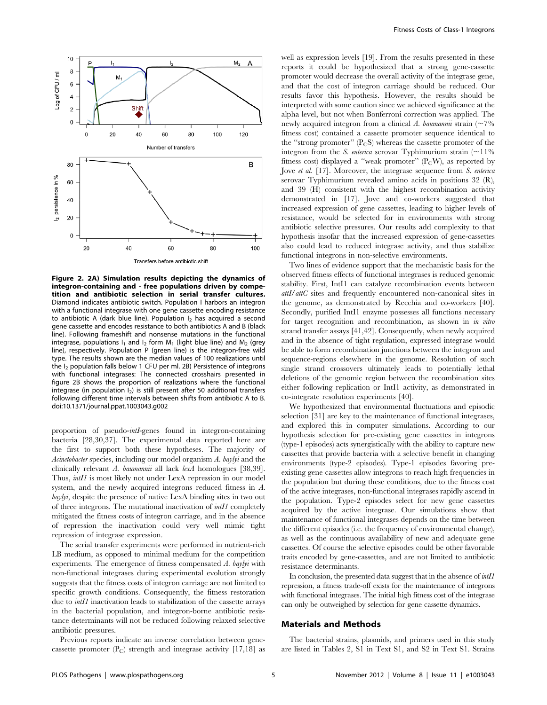

Figure 2. 2A) Simulation results depicting the dynamics of integron-containing and - free populations driven by competition and antibiotic selection in serial transfer cultures. Diamond indicates antibiotic switch. Population I harbors an integron with a functional integrase with one gene cassette encoding resistance to antibiotic A (dark blue line). Population  $I_2$  has acquired a second gene cassette and encodes resistance to both antibiotics A and B (black line). Following frameshift and nonsense mutations in the functional integrase, populations  $I_1$  and  $I_2$  form  $M_1$  (light blue line) and  $M_2$  (grey line), respectively. Population P (green line) is the integron-free wild type. The results shown are the median values of 100 realizations until the  $I_2$  population falls below 1 CFU per ml. 2B) Persistence of integrons with functional integrases: The connected crosshairs presented in figure 2B shows the proportion of realizations where the functional integrase (in population  $I_2$ ) is still present after 50 additional transfers following different time intervals between shifts from antibiotic A to B. doi:10.1371/journal.ppat.1003043.g002

proportion of pseudo-intI-genes found in integron-containing bacteria [28,30,37]. The experimental data reported here are the first to support both these hypotheses. The majority of Acinetobacter species, including our model organism A. baylyi and the clinically relevant A. baumannii all lack lexA homologues [38,39]. Thus,  $int11$  is most likely not under LexA repression in our model system, and the newly acquired integrons reduced fitness in A. baylyi, despite the presence of native LexA binding sites in two out of three integrons. The mutational inactivation of intI1 completely mitigated the fitness costs of integron carriage, and in the absence of repression the inactivation could very well mimic tight repression of integrase expression.

The serial transfer experiments were performed in nutrient-rich LB medium, as opposed to minimal medium for the competition experiments. The emergence of fitness compensated A. baylyi with non-functional integrases during experimental evolution strongly suggests that the fitness costs of integron carriage are not limited to specific growth conditions. Consequently, the fitness restoration due to *intI1* inactivation leads to stabilization of the cassette arrays in the bacterial population, and integron-borne antibiotic resistance determinants will not be reduced following relaxed selective antibiotic pressures.

Previous reports indicate an inverse correlation between genecassette promoter  $(P_C)$  strength and integrase activity [17,18] as well as expression levels [19]. From the results presented in these reports it could be hypothesized that a strong gene-cassette promoter would decrease the overall activity of the integrase gene, and that the cost of integron carriage should be reduced. Our results favor this hypothesis. However, the results should be interpreted with some caution since we achieved significance at the alpha level, but not when Bonferroni correction was applied. The newly acquired integron from a clinical A. baumannii strain ( $\sim$ 7%) fitness cost) contained a cassette promoter sequence identical to the "strong promoter"  $(P<sub>C</sub>S)$  whereas the cassette promoter of the integron from the *S. enterica* serovar Typhimurium strain  $\sim$  11% fitness cost) displayed a "weak promoter"  $(P<sub>C</sub>W)$ , as reported by Jove et al. [17]. Moreover, the integrase sequence from *S. enterica* serovar Typhimurium revealed amino acids in positions 32 (R), and 39 (H) consistent with the highest recombination activity demonstrated in [17]. Jove and co-workers suggested that increased expression of gene cassettes, leading to higher levels of resistance, would be selected for in environments with strong antibiotic selective pressures. Our results add complexity to that hypothesis insofar that the increased expression of gene-cassettes also could lead to reduced integrase activity, and thus stabilize functional integrons in non-selective environments.

Two lines of evidence support that the mechanistic basis for the observed fitness effects of functional integrases is reduced genomic stability. First, IntI1 can catalyze recombination events between attI/attC sites and frequently encountered non-canonical sites in the genome, as demonstrated by Recchia and co-workers [40]. Secondly, purified IntI1 enzyme possesses all functions necessary for target recognition and recombination, as shown in in vitro strand transfer assays [41,42]. Consequently, when newly acquired and in the absence of tight regulation, expressed integrase would be able to form recombination junctions between the integron and sequence-regions elsewhere in the genome. Resolution of such single strand crossovers ultimately leads to potentially lethal deletions of the genomic region between the recombination sites either following replication or IntI1 activity, as demonstrated in co-integrate resolution experiments [40].

We hypothesized that environmental fluctuations and episodic selection [31] are key to the maintenance of functional integrases, and explored this in computer simulations. According to our hypothesis selection for pre-existing gene cassettes in integrons (type-1 episodes) acts synergistically with the ability to capture new cassettes that provide bacteria with a selective benefit in changing environments (type-2 episodes). Type-1 episodes favoring preexisting gene cassettes allow integrons to reach high frequencies in the population but during these conditions, due to the fitness cost of the active integrases, non-functional integrases rapidly ascend in the population. Type-2 episodes select for new gene cassettes acquired by the active integrase. Our simulations show that maintenance of functional integrases depends on the time between the different episodes (i.e. the frequency of environmental change), as well as the continuous availability of new and adequate gene cassettes. Of course the selective episodes could be other favorable traits encoded by gene-cassettes, and are not limited to antibiotic resistance determinants.

In conclusion, the presented data suggest that in the absence of  $int1$ repression, a fitness trade-off exists for the maintenance of integrons with functional integrases. The initial high fitness cost of the integrase can only be outweighed by selection for gene cassette dynamics.

# Materials and Methods

The bacterial strains, plasmids, and primers used in this study are listed in Tables 2, S1 in Text S1, and S2 in Text S1. Strains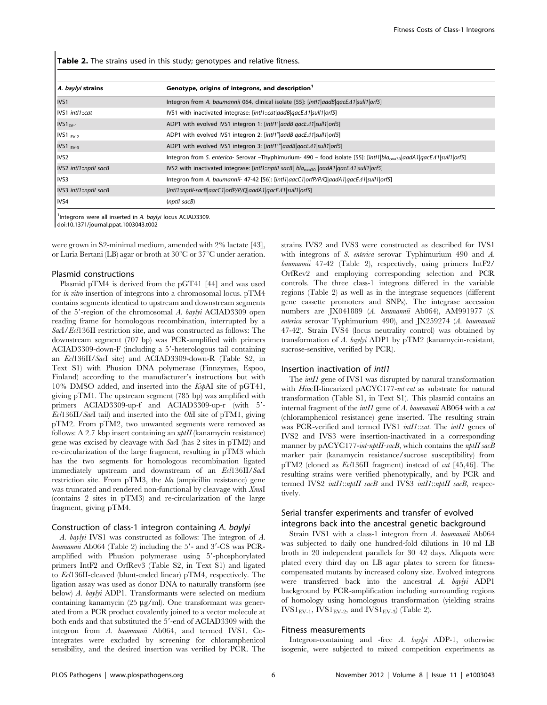Table 2. The strains used in this study; genotypes and relative fitness.

| A. baylyi strains      | Genotype, origins of integrons, and description <sup>1</sup>                                                                     |
|------------------------|----------------------------------------------------------------------------------------------------------------------------------|
| IVS1                   | Integron from A. baumannii 064, clinical isolate [55]: [intl1 aadB qacE $\Delta$ 1 sull1 orf5]                                   |
| IVS1 intl1::cat        | IVS1 with inactivated integrase: [intl1::cat aadB qacE $\Delta$ 1 sull1 orf5]                                                    |
| $IVS1FV-1$             | ADP1 with evolved IVS1 integron 1: [intl1'   aadB  gacE 41   sull1   orf5]                                                       |
| $IVS1$ <sub>EV-2</sub> | ADP1 with evolved IVS1 integron 2: [intl1" aadB qacE41 sull1 orf5]                                                               |
| $IVS1$ <sub>EV-3</sub> | ADP1 with evolved IVS1 integron 3: [intl1" aadB qacEA1 sull1 orf5]                                                               |
| I <sub>IVS2</sub>      | Integron from S. enterica- Serovar -Thyphimurium- 490 - food isolate [55]: [intl1 bla <sub>oxa30</sub>  aadA1 qacEA1 sull1 orf5] |
| IVS2 intl1::nptll sacB | IVS2 with inactivated integrase: [intl1::nptll sacB  bla <sub>oxa30</sub>  aadA1 qacE $\Delta$ 1 sull1 orf5]                     |
| IVS3                   | Integron from A. baumannii- 47-42 [56]: [intl1]aacC1]orfP/P/Q[aadA1]qacE $\Lambda$ 1]sull1]orf5]                                 |
| IVS3 intl1::nptll sacB | [intl1::nptll-sacB aacC1 orfP/P/Q aadA1 qacE41 sull1 orf5]                                                                       |
| IVS4                   | (nptll sacB)                                                                                                                     |

<sup>1</sup>Integrons were all inserted in A. baylyi locus ACIAD3309.

doi:10.1371/journal.ppat.1003043.t002

were grown in S2-minimal medium, amended with 2% lactate [43], or Luria Bertani (LB) agar or broth at  $30^{\circ}$ C or  $37^{\circ}$ C under aeration.

#### Plasmid constructions

Plasmid pTM4 is derived from the pGT41 [44] and was used for in vitro insertion of integrons into a chromosomal locus. pTM4 contains segments identical to upstream and downstream segments of the  $5'$ -region of the chromosomal A. baylyi ACIAD3309 open reading frame for homologous recombination, interrupted by a SacI/Ecl136II restriction site, and was constructed as follows: The downstream segment (707 bp) was PCR-amplified with primers  $ACIAD3309-down-F$  (including a  $5'$ -heterologous tail containing an Ecl136II/SacI site) and ACIAD3309-down-R (Table S2, in Text S1) with Phusion DNA polymerase (Finnzymes, Espoo, Finland) according to the manufacturer's instructions but with 10% DMSO added, and inserted into the KspAI site of pGT41, giving pTM1. The upstream segment (785 bp) was amplified with primers ACIAD3309-up-f and ACIAD3309-up-r (with 5'- $Ecl136II/SacI$  tail) and inserted into the *Oli*I site of pTM1, giving pTM2. From pTM2, two unwanted segments were removed as follows: A 2.7 kbp insert containing an  $nptH$  (kanamycin resistance) gene was excised by cleavage with SacI (has 2 sites in pTM2) and re-circularization of the large fragment, resulting in pTM3 which has the two segments for homologous recombination ligated immediately upstream and downstream of an Ecl136II/SacI restriction site. From pTM3, the bla (ampicillin resistance) gene was truncated and rendered non-functional by cleavage with  $XmnI$ (contains 2 sites in pTM3) and re-circularization of the large fragment, giving pTM4.

#### Construction of class-1 integron containing A. baylyi

A. baylyi IVS1 was constructed as follows: The integron of A. baumannii Ab $064$  (Table 2) including the  $5'$ - and  $3'$ -CS was PCRamplified with Phusion polymerase using 5'-phosphorylated primers IntF2 and OrfRev3 (Table S2, in Text S1) and ligated to Ecl136II-cleaved (blunt-ended linear) pTM4, respectively. The ligation assay was used as donor DNA to naturally transform (see below) A. baylyi ADP1. Transformants were selected on medium containing kanamycin  $(25 \mu g/ml)$ . One transformant was generated from a PCR product covalently joined to a vector molecule at both ends and that substituted the 5'-end of ACIAD3309 with the integron from A. baumannii Ab064, and termed IVS1. Cointegrates were excluded by screening for chloramphenicol sensibility, and the desired insertion was verified by PCR. The

strains IVS2 and IVS3 were constructed as described for IVS1 with integrons of S. enterica serovar Typhimurium 490 and A. baumannii 47-42 (Table 2), respectively, using primers IntF2/ OrfRev2 and employing corresponding selection and PCR controls. The three class-1 integrons differed in the variable regions (Table 2) as well as in the integrase sequences (different gene cassette promoters and SNPs). The integrase accession numbers are JX041889 (A. baumannii Ab064), AM991977 (S. enterica serovar Typhimurium 490), and JX259274 (A. baumannii 47-42). Strain IVS4 (locus neutrality control) was obtained by transformation of A. baylyi ADP1 by pTM2 (kanamycin-resistant, sucrose-sensitive, verified by PCR).

#### Insertion inactivation of intI1

The *intI1* gene of IVS1 was disrupted by natural transformation with HincII-linearized pACYC177-int-cat as substrate for natural transformation (Table S1, in Text S1). This plasmid contains an internal fragment of the *intI1* gene of A. baumannii AB064 with a cat (chloramphenicol resistance) gene inserted. The resulting strain was PCR-verified and termed IVS1 *intI1::cat*. The *intI1* genes of IVS2 and IVS3 were insertion-inactivated in a corresponding manner by pACYC177-int-nptII-sacB, which contains the nptII sacB marker pair (kanamycin resistance/sucrose susceptibility) from pTM2 (cloned as Ecl136II fragment) instead of cat [45,46]. The resulting strains were verified phenotypically, and by PCR and termed IVS2 intI1::nptII sacB and IVS3 intI1::nptII sacB, respectively.

# Serial transfer experiments and transfer of evolved integrons back into the ancestral genetic background

Strain IVS1 with a class-1 integron from A. baumannii Ab064 was subjected to daily one hundred-fold dilutions in 10 ml LB broth in 20 independent parallels for 30–42 days. Aliquots were plated every third day on LB agar plates to screen for fitnesscompensated mutants by increased colony size. Evolved integrons were transferred back into the ancestral A. baylyi ADP1 background by PCR-amplification including surrounding regions of homology using homologous transformation (yielding strains  $IVSI<sub>EV-1</sub>,  $IVSI<sub>EV-2</sub>$ , and  $IVSI<sub>EV-3</sub>$  (Table 2).$ 

#### Fitness measurements

Integron-containing and -free A. baylyi ADP-1, otherwise isogenic, were subjected to mixed competition experiments as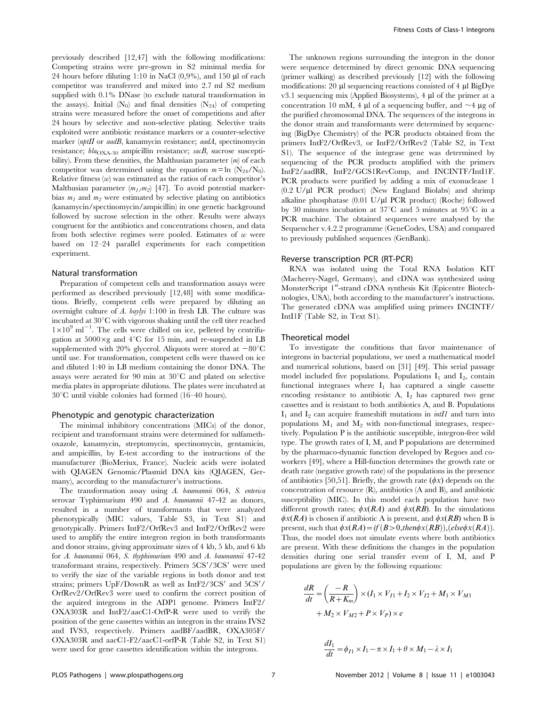previously described [12,47] with the following modifications: Competing strains were pre-grown in S2 minimal media for 24 hours before diluting 1:10 in NaCl  $(0,9\%)$ , and 150 µl of each competitor was transferred and mixed into 2.7 ml S2 medium supplied with 0.1% DNase (to exclude natural transformation in the assays). Initial  $(N_0)$  and final densities  $(N_{24})$  of competing strains were measured before the onset of competitions and after 24 hours by selective and non-selective plating. Selective traits exploited were antibiotic resistance markers or a counter-selective marker (nptII or aadB, kanamycin resistance; aadA, spectinomycin resistance;  $bla_{\text{OXA-30}}$  ampicillin resistance;  $saCB$ , sucrose susceptibility). From these densities, the Malthusian parameter  $(m)$  of each competitor was determined using the equation  $m = \ln (N_{24}/N_0)$ . Relative fitness  $(w)$  was estimated as the ratios of each competitor's Malthusian parameter  $(m_1/m_2)$  [47]. To avoid potential markerbias  $m_1$  and  $m_2$  were estimated by selective plating on antibiotics (kanamycin/spectinomycin/ampicillin) in one genetic background followed by sucrose selection in the other. Results were always congruent for the antibiotics and concentrations chosen, and data from both selective regimes were pooled. Estimates of  $w$  were based on 12–24 parallel experiments for each competition experiment.

#### Natural transformation

Preparation of competent cells and transformation assays were performed as described previously [12,48] with some modifications. Briefly, competent cells were prepared by diluting an overnight culture of A. baylyi 1:100 in fresh LB. The culture was incubated at  $30^{\circ}$ C with vigorous shaking until the cell titer reached  $1 \times 10^9$  ml<sup>-1</sup>. The cells were chilled on ice, pelleted by centrifugation at  $5000 \times g$  and  $4^{\circ}$ C for 15 min, and re-suspended in LB supplemented with 20% glycerol. Aliquots were stored at  $-80^{\circ}$ C until use. For transformation, competent cells were thawed on ice and diluted 1:40 in LB medium containing the donor DNA. The assays were aerated for 90 min at  $30^{\circ}$ C and plated on selective media plates in appropriate dilutions. The plates were incubated at  $30^{\circ}$ C until visible colonies had formed (16–40 hours).

#### Phenotypic and genotypic characterization

The minimal inhibitory concentrations (MICs) of the donor, recipient and transformant strains were determined for sulfamethoxazole, kanamycin, streptomycin, spectinomycin, gentamicin, and ampicillin, by E-test according to the instructions of the manufacturer (BioMeriux, France). Nucleic acids were isolated with QIAGEN Genomic/Plasmid DNA kits (QIAGEN, Germany), according to the manufacturer's instructions.

The transformation assay using A. baumannii 064, S. enterica serovar Typhimurium 490 and A. baumannii 47-42 as donors, resulted in a number of transformants that were analyzed phenotypically (MIC values, Table S3, in Text S1) and genotypically. Primers IntF2/OrfRev3 and IntF2/OrfRev2 were used to amplify the entire integron region in both transformants and donor strains, giving approximate sizes of 4 kb, 5 kb, and 6 kb for A. baumannii 064, S. thyphimurium 490 and A. baumannii 47-42 transformant strains, respectively. Primers  $5CS'/3CS'$  were used to verify the size of the variable regions in both donor and test strains; primers  $UpF/DownR$  as well as  $IntF2/3CS'$  and  $5CS'/$ OrfRev2/OrfRev3 were used to confirm the correct position of the aquired integrons in the ADP1 genome. Primers IntF2/ OXA303R and IntF2/aacC1-OrfP-R were used to verify the position of the gene cassettes within an integron in the strains IVS2 and IVS3, respectively. Primers aadBF/aadBR, OXA305F/ OXA303R and aacC1-F2/aacC1-orfP-R (Table S2, in Text S1) were used for gene cassettes identification within the integrons.

The unknown regions surrounding the integron in the donor were sequence determined by direct genomic DNA sequencing (primer walking) as described previously [12] with the following modifications: 20  $\mu$ l sequencing reactions consisted of 4  $\mu$ l BigDye  $v3.1$  sequencing mix (Applied Biosystems),  $4 \mu l$  of the primer at a concentration 10 mM, 4  $\mu$ l of a sequencing buffer, and  $\sim$ 4  $\mu$ g of the purified chromosomal DNA. The sequences of the integrons in the donor strain and transformants were determined by sequencing (BigDye Chemistry) of the PCR products obtained from the primers IntF2/OrfRev3, or IntF2/OrfRev2 (Table S2, in Text S1). The sequence of the integrase gene was determined by sequencing of the PCR products amplified with the primers IntF2/aadBR, IntF2/GCS1RevComp, and INCINTF/IntI1F. PCR products were purified by adding a mix of exonuclease 1  $(0.2 \text{ U/}\mu\text{I}$  PCR product) (New England Biolabs) and shrimp alkaline phosphatase  $(0.01 \text{ U/}\mu\text{I } PCR$  product) (Roche) followed by 30 minutes incubation at 37 $^{\circ}$ C and 5 minutes at 95 $^{\circ}$ C in a PCR machine. The obtained sequences were analysed by the Sequencher v.4.2.2 programme (GeneCodes, USA) and compared to previously published sequences (GenBank).

#### Reverse transcription PCR (RT-PCR)

RNA was isolated using the Total RNA Isolation KIT (Macherey-Nagel, Germany), and cDNA was synthesized using MonsterScript 1<sup>st</sup>-strand cDNA synthesis Kit (Epicentre Biotechnologies, USA), both according to the manufacturer's instructions. The generated cDNA was amplified using primers INCINTF/ IntI1F (Table S2, in Text S1).

#### Theoretical model

To investigate the conditions that favor maintenance of integrons in bacterial populations, we used a mathematical model and numerical solutions, based on [31] [49]. This serial passage model included five populations. Populations  $I_1$  and  $I_2$ , contain functional integrases where  $I_1$  has captured a single cassette encoding resistance to antibiotic A,  $I_2$  has captured two gene cassettes and is resistant to both antibiotics A, and B. Populations  $I_1$  and  $I_2$  can acquire frameshift mutations in *intI1* and turn into populations  $M_1$  and  $M_2$  with non-functional integrases, respectively. Population P is the antibiotic susceptible, integron-free wild type. The growth rates of I, M, and P populations are determined by the pharmaco-dynamic function developed by Regoes and coworkers [49], where a Hill-function determines the growth rate or death rate (negative growth rate) of the populations in the presence of antibiotics [50,51]. Briefly, the growth rate  $(\phi x)$  depends on the concentration of resource (R), antibiotics (A and B), and antibiotic susceptibility (MIC). In this model each population have two different growth rates;  $\phi x(RA)$  and  $\phi x(RB)$ . In the simulations  $\phi$ x(RA) is chosen if antibiotic A is present, and  $\phi$ x(RB) when B is present, such that  $\phi x(RA) = if (B > 0, then \phi x(RB))$ , (else $\phi x(RA)$ ). Thus, the model does not simulate events where both antibiotics are present. With these definitions the changes in the population densities during one serial transfer event of I, M, and P populations are given by the following equations:

$$
\frac{dR}{dt} = \left(\frac{-R}{R+K_m}\right) \times (I_1 \times V_{I1} + I_2 \times V_{I2} + M_1 \times V_{M1} + M_2 \times V_{M2} + P \times V_P) \times e
$$

$$
\frac{dI_1}{dt} = \phi_{I1} \times I_1 - \pi \times I_1 + \theta \times M_1 - \lambda \times I_1
$$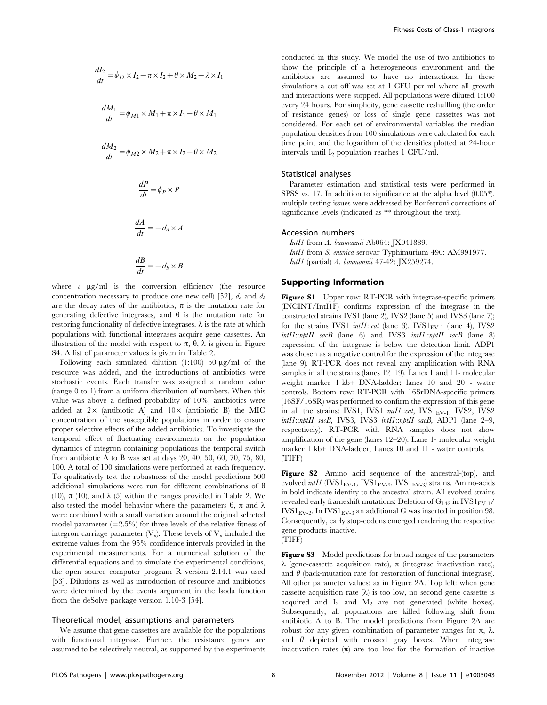$$
\frac{dI_2}{dt} = \phi_{I2} \times I_2 - \pi \times I_2 + \theta \times M_2 + \lambda \times I_1
$$
  

$$
\frac{dM_1}{dt} = \phi_{M1} \times M_1 + \pi \times I_1 - \theta \times M_1
$$
  

$$
\frac{dM_2}{dt} = \phi_{M2} \times M_2 + \pi \times I_2 - \theta \times M_2
$$
  

$$
\frac{dP}{dt} = \phi_P \times P
$$
  

$$
\frac{dA}{dt} = -d_a \times A
$$
  

$$
\frac{dB}{dt} = -d_b \times B
$$

where  $e \mu g/ml$  is the conversion efficiency (the resource concentration necessary to produce one new cell) [52],  $d_a$  and  $d_b$ are the decay rates of the antibiotics,  $\pi$  is the mutation rate for generating defective integrases, and  $\theta$  is the mutation rate for restoring functionality of defective integrases.  $\lambda$  is the rate at which populations with functional integrases acquire gene cassettes. An illustration of the model with respect to  $\pi$ ,  $\theta$ ,  $\lambda$  is given in Figure S4. A list of parameter values is given in Table 2.

Following each simulated dilution  $(1:100)$  50  $\mu$ g/ml of the resource was added, and the introductions of antibiotics were stochastic events. Each transfer was assigned a random value (range 0 to 1) from a uniform distribution of numbers. When this value was above a defined probability of 10%, antibiotics were added at  $2 \times$  (antibiotic A) and  $10 \times$  (antibiotic B) the MIC concentration of the susceptible populations in order to ensure proper selective effects of the added antibiotics. To investigate the temporal effect of fluctuating environments on the population dynamics of integron containing populations the temporal switch from antibiotic A to B was set at days 20, 40, 50, 60, 70, 75, 80, 100. A total of 100 simulations were performed at each frequency. To qualitatively test the robustness of the model predictions 500 additional simulations were run for different combinations of  $\theta$ (10),  $\pi$  (10), and  $\lambda$  (5) within the ranges provided in Table 2. We also tested the model behavior where the parameters  $\theta$ ,  $\pi$  and  $\lambda$ were combined with a small variation around the original selected model parameter  $(\pm 2.5\%)$  for three levels of the relative fitness of integron carriage parameter  $(V_x)$ . These levels of  $V_x$  included the extreme values from the 95% confidence intervals provided in the experimental measurements. For a numerical solution of the differential equations and to simulate the experimental conditions, the open source computer program R version 2.14.1 was used [53]. Dilutions as well as introduction of resource and antibiotics were determined by the events argument in the lsoda function from the deSolve package version 1.10-3 [54].

#### Theoretical model, assumptions and parameters

We assume that gene cassettes are available for the populations with functional integrase. Further, the resistance genes are assumed to be selectively neutral, as supported by the experiments conducted in this study. We model the use of two antibiotics to show the principle of a heterogeneous environment and the antibiotics are assumed to have no interactions. In these simulations a cut off was set at 1 CFU per ml where all growth and interactions were stopped. All populations were diluted 1:100 every 24 hours. For simplicity, gene cassette reshuffling (the order of resistance genes) or loss of single gene cassettes was not considered. For each set of environmental variables the median population densities from 100 simulations were calculated for each time point and the logarithm of the densities plotted at 24-hour intervals until  $I_2$  population reaches 1 CFU/ml.

# Statistical analyses

Parameter estimation and statistical tests were performed in SPSS vs. 17. In addition to significance at the alpha level (0.05\*), multiple testing issues were addressed by Bonferroni corrections of significance levels (indicated as \*\* throughout the text).

# Accession numbers

IntI1 from A. baumannii Ab064: JX041889. IntI1 from S. enterica serovar Typhimurium 490: AM991977. IntI1 (partial) A. baumannii 47-42: JX259274.

# Supporting Information

Figure S1 Upper row: RT-PCR with integrase-specific primers (INCINT/IntI1F) confirms expression of the integrase in the constructed strains IVS1 (lane 2), IVS2 (lane 5) and IVS3 (lane 7); for the strains IVS1 intI1::cat (lane 3),  $IVS1_{EV-1}$  (lane 4), IVS2  $intII::nptII$  sacB (lane 6) and IVS3  $intII::nptII$  sacB (lane 8) expression of the integrase is below the detection limit. ADP1 was chosen as a negative control for the expression of the integrase (lane 9). RT-PCR does not reveal any amplification with RNA samples in all the strains (lanes 12–19). Lanes 1 and 11- molecular weight marker 1 kb+ DNA-ladder; lanes 10 and 20 - water controls. Bottom row: RT-PCR with 16SrDNA-specific primers (16SF/16SR) was performed to confirm the expression of this gene in all the strains: IVS1, IVS1  $intI::cat$ , IVS1<sub>EV-1</sub>, IVS2, IVS2 intI1::nptII sacB, IVS3, IVS3 intI1::nptII sacB, ADP1 (lane 2-9, respectively). RT-PCR with RNA samples does not show amplification of the gene (lanes 12–20). Lane 1- molecular weight marker 1 kb+ DNA-ladder; Lanes 10 and 11 - water controls. (TIFF)

Figure S2 Amino acid sequence of the ancestral-(top), and evolved  $int1$  (IVS1<sub>EV-1</sub>, IVS1<sub>EV-2</sub>, IVS1<sub>EV-3</sub>) strains. Amino-acids in bold indicate identity to the ancestral strain. All evolved strains revealed early frameshift mutations: Deletion of  $G_{142}$  in IVS1<sub>EV-1</sub>/  $IVS1<sub>EV-2</sub>$ . In  $IVS1<sub>EV-3</sub>$  an additional G was inserted in position 98. Consequently, early stop-codons emerged rendering the respective gene products inactive.

(TIFF)

Figure S3 Model predictions for broad ranges of the parameters  $\lambda$  (gene-cassette acquisition rate),  $\pi$  (integrase inactivation rate), and  $\theta$  (back-mutation rate for restoration of functional integrase). All other parameter values: as in Figure 2A. Top left: when gene cassette acquisition rate  $(\lambda)$  is too low, no second gene cassette is acquired and  $I_2$  and  $M_2$  are not generated (white boxes). Subsequently, all populations are killed following shift from antibiotic A to B. The model predictions from Figure 2A are robust for any given combination of parameter ranges for  $\pi$ ,  $\lambda$ , and  $\theta$  depicted with crossed gray boxes. When integrase inactivation rates  $(\pi)$  are too low for the formation of inactive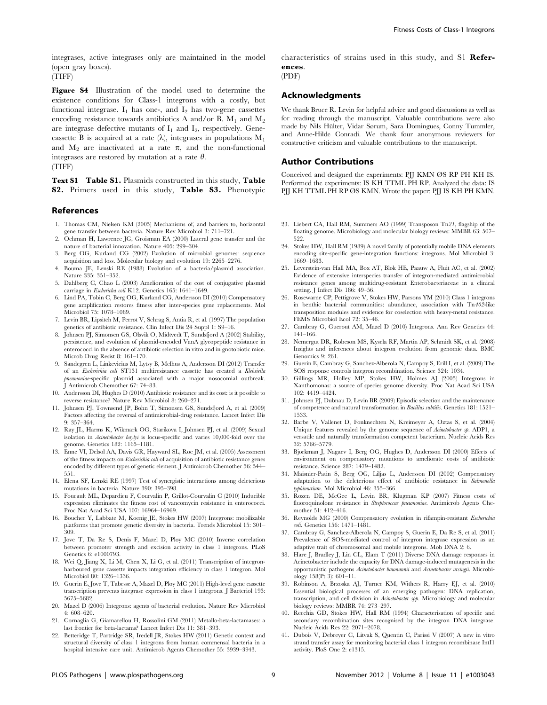Figure S4 Illustration of the model used to determine the existence conditions for Class-1 integrons with a costly, but functional integrase.  $I_1$  has one-, and  $I_2$  has two-gene cassettes encoding resistance towards antibiotics A and/or B.  $M_1$  and  $M_2$ are integrase defective mutants of  $I_1$  and  $I_2$ , respectively. Genecassette B is acquired at a rate  $(\lambda)$ , integrases in populations  $M_1$ and  $M_2$  are inactivated at a rate  $\pi$ , and the non-functional integrases are restored by mutation at a rate  $\theta$ .

(TIFF)

Text S1 Table S1. Plasmids constructed in this study, Table S2. Primers used in this study, Table S3. Phenotypic

#### References

- 1. Thomas CM, Nielsen KM (2005) Mechanisms of, and barriers to, horizontal gene transfer between bacteria. Nature Rev Microbiol 3: 711–721.
- 2. Ochman H, Lawrence JG, Groisman EA (2000) Lateral gene transfer and the nature of bacterial innovation. Nature 405: 299–304.
- 3. Berg OG, Kurland CG (2002) Evolution of microbial genomes: sequence acquisition and loss. Molecular biology and evolution 19: 2265–2276.
- 4. Bouma JE, Lenski RE (1988) Evolution of a bacteria/plasmid association. Nature 335: 351–352.
- 5. Dahlberg C, Chao L (2003) Amelioration of the cost of conjugative plasmid carriage in Eschericha coli K12. Genetics 165: 1641–1649.
- 6. Lind PA, Tobin C, Berg OG, Kurland CG, Andersson DI (2010) Compensatory gene amplification restores fitness after inter-species gene replacements. Mol Microbiol 75: 1078–1089.
- 7. Levin BR, Lipsitch M, Perrot V, Schrag S, Antia R, et al. (1997) The population genetics of antibiotic resistance. Clin Infect Dis 24 Suppl 1: S9–16.
- 8. Johnsen PJ, Simonsen GS, Olsvik O, Midtvedt T, Sundsfjord A (2002) Stability, persistence, and evolution of plasmid-encoded VanA glycopeptide resistance in enterococci in the absence of antibiotic selection in vitro and in gnotobiotic mice. Microb Drug Resist 8: 161–170.
- 9. Sandegren L, Linkevicius M, Lytsy B, Melhus A, Andersson DI (2012) Transfer of an Escherichia coli ST131 multiresistance cassette has created a Klebsiella pneumoniae-specific plasmid associated with a major nosocomial outbreak. J Antimicrob Chemother 67: 74–83.
- 10. Andersson DI, Hughes D (2010) Antibiotic resistance and its cost: is it possible to reverse resistance? Nature Rev Microbiol 8: 260–271.
- 11. Johnsen PJ, Townsend JP, Bohn T, Simonsen GS, Sundsfjord A, et al. (2009) Factors affecting the reversal of antimicrobial-drug resistance. Lancet Infect Dis 9: 357–364.
- 12. Ray JL, Harms K, Wikmark OG, Starikova I, Johnsen PJ, et al. (2009) Sexual isolation in Acinetobacter baylyi is locus-specific and varies 10,000-fold over the genome. Genetics 182: 1165–1181.
- 13. Enne VI, Delsol AA, Davis GR, Hayward SL, Roe JM, et al. (2005) Assessment of the fitness impacts on Escherichia coli of acquisition of antibiotic resistance genes encoded by different types of genetic element. J Antimicrob Chemother 56: 544– 551.
- 14. Elena SF, Lenski RE (1997) Test of synergistic interactions among deleterious mutations in bacteria. Nature 390: 395–398.
- 15. Foucault ML, Depardieu F, Courvalin P, Grillot-Courvalin C (2010) Inducible expression eliminates the fitness cost of vancomycin resistance in enterococci. Proc Nat Acad Sci USA 107: 16964–16969.
- 16. Boucher Y, Labbate M, Koenig JE, Stokes HW (2007) Integrons: mobilizable platforms that promote genetic diversity in bacteria. Trends Microbiol 15: 301– 309.
- 17. Jove T, Da Re S, Denis F, Mazel D, Ploy MC (2010) Inverse correlation between promoter strength and excision activity in class 1 integrons. PLoS Genetics 6: e1000793.
- 18. Wei Q, Jiang X, Li M, Chen X, Li G, et al. (2011) Transcription of integronharboured gene cassette impacts integration efficiency in class 1 integron. Mol Microbiol 80: 1326–1336.
- 19. Guerin E, Jove T, Tabesse A, Mazel D, Ploy MC (2011) High-level gene cassette transcription prevents integrase expression in class 1 integrons. J Bacteriol 193: 5675–5682.
- 20. Mazel D (2006) Integrons: agents of bacterial evolution. Nature Rev Microbiol 4: 608–620.
- 21. Cornaglia G, Giamarellou H, Rossolini GM (2011) Metallo-beta-lactamases: a last frontier for beta-lactams? Lancet Infect Dis 11: 381–393.
- 22. Betteridge T, Partridge SR, Iredell JR, Stokes HW (2011) Genetic context and structural diversity of class 1 integrons from human commensal bacteria in a hospital intensive care unit. Antimicrob Agents Chemother 55: 3939–3943.

characteristics of strains used in this study, and S1 References.

(PDF)

# Acknowledgments

We thank Bruce R. Levin for helpful advice and good discussions as well as for reading through the manuscript. Valuable contributions were also made by Nils Hülter, Vidar Sørum, Sara Domingues, Conny Tummler, and Anne-Hilde Conradi. We thank four anonymous reviewers for constructive criticism and valuable contributions to the manuscript.

# Author Contributions

Conceived and designed the experiments: PJJ KMN ØS RP PH KH IS. Performed the experiments: IS KH TTML PH RP. Analyzed the data: IS PJJ KH TTML PH RP ØS KMN. Wrote the paper: PJJ IS KH PH KMN.

- 23. Liebert CA, Hall RM, Summers AO (1999) Transposon Tn21, flagship of the floating genome. Microbiology and molecular biology reviews: MMBR 63: 507– 522.
- 24. Stokes HW, Hall RM (1989) A novel family of potentially mobile DNA elements encoding site-specific gene-integration functions: integrons. Mol Microbiol 3: 1669–1683.
- 25. Leverstein-van Hall MA, Box AT, Blok HE, Paauw A, Fluit AC, et al. (2002) Evidence of extensive interspecies transfer of integron-mediated antimicrobial resistance genes among multidrug-resistant Enterobacteriaceae in a clinical setting. J Infect Dis 186: 49-56.
- 26. Rosewarne CP, Pettigrove V, Stokes HW, Parsons YM (2010) Class 1 integrons in benthic bacterial communities: abundance, association with Tn402-like transposition modules and evidence for coselection with heavy-metal resistance. FEMS Microbiol Ecol 72: 35–46.
- 27. Cambray G, Guerout AM, Mazel D (2010) Integrons. Ann Rev Genetics 44: 141–166.
- 28. Nemergut DR, Robeson MS, Kysela RF, Martin AP, Schmidt SK, et al. (2008) Insights and inferences about integron evolution from genomic data. BMC Genomics 9: 261.
- 29. Guerin E, Cambray G, Sanchez-Alberola N, Campoy S, Erill I, et al. (2009) The SOS response controls integron recombination. Science 324: 1034.
- 30. Gillings MR, Holley MP, Stokes HW, Holmes AJ (2005) Integrons in Xanthomonas: a source of species genome diversity. Proc Nat Acad Sci USA 102: 4419–4424.
- 31. Johnsen PJ, Dubnau D, Levin BR (2009) Episodic selection and the maintenance of competence and natural transformation in Bacillus subtilis. Genetics 181: 1521– 1533.
- 32. Barbe V, Vallenet D, Fonknechten N, Kreimeyer A, Oztas S, et al. (2004) Unique features revealed by the genome sequence of Acinetobacter sp. ADP1, a versatile and naturally transformation competent bacterium. Nucleic Acids Res 32: 5766–5779.
- 33. Bjorkman J, Nagaev I, Berg OG, Hughes D, Andersson DI (2000) Effects of environment on compensatory mutations to ameliorate costs of antibiotic resistance. Science 287: 1479–1482.
- 34. Maisnier-Patin S, Berg OG, Liljas L, Andersson DI (2002) Compensatory adaptation to the deleterious effect of antibiotic resistance in Salmonella typhimurium. Mol Microbiol 46: 355–366.
- 35. Rozen DE, McGee L, Levin BR, Klugman KP (2007) Fitness costs of fluoroquinolone resistance in *Streptococcus pneumoniae*. Antimicrob Agents Chemother 51: 412–416.
- 36. Reynolds MG (2000) Compensatory evolution in rifampin-resistant Escherichia coli. Genetics 156: 1471–1481.
- 37. Cambray G, Sanchez-Alberola N, Campoy S, Guerin E, Da Re S, et al. (2011) Prevalence of SOS-mediated control of integron integrase expression as an adaptive trait of chromosomal and mobile integrons. Mob DNA 2: 6.
- 38. Hare J, Bradley J, Lin CL, Elam T (2011) Diverse DNA damage responses in Acinetobacter include the capacity for DNA damage-induced mutagenesis in the opportunistic pathogens Acinetobacter baumannii and Acinetobacter ursingii. Microbiology 158(Pt 3): 601–11.
- 39. Robinson A, Brzoska AJ, Turner KM, Withers R, Harry EJ, et al. (2010) Essential biological processes of an emerging pathogen: DNA replication, transcription, and cell division in Acinetobacter spp. Microbiology and molecular biology reviews: MMBR 74: 273–297.
- 40. Recchia GD, Stokes HW, Hall RM (1994) Characterisation of specific and secondary recombination sites recognised by the integron DNA integrase. Nucleic Acids Res 22: 2071–2078.
- 41. Dubois V, Debreyer C, Litvak S, Quentin C, Parissi V (2007) A new in vitro strand transfer assay for monitoring bacterial class 1 integron recombinase IntI1 activity. PloS One 2: e1315.